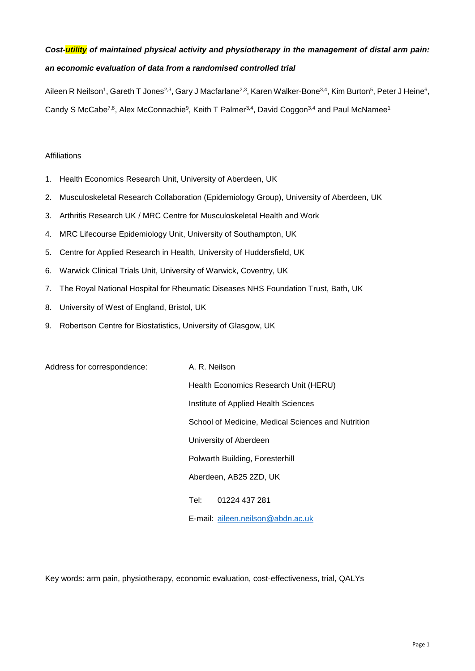# *Cost-utility of maintained physical activity and physiotherapy in the management of distal arm pain: an economic evaluation of data from a randomised controlled trial*

Aileen R Neilson<sup>1</sup>, Gareth T Jones<sup>2,3</sup>, Gary J Macfarlane<sup>2,3</sup>, Karen Walker-Bone<sup>3,4</sup>, Kim Burton<sup>5</sup>, Peter J Heine<sup>6</sup>, Candy S McCabe<sup>7,8</sup>, Alex McConnachie<sup>9</sup>, Keith T Palmer<sup>3,4</sup>, David Coggon<sup>3,4</sup> and Paul McNamee<sup>1</sup>

## Affiliations

- 1. Health Economics Research Unit, University of Aberdeen, UK
- 2. Musculoskeletal Research Collaboration (Epidemiology Group), University of Aberdeen, UK
- 3. Arthritis Research UK / MRC Centre for Musculoskeletal Health and Work
- 4. MRC Lifecourse Epidemiology Unit, University of Southampton, UK
- 5. Centre for Applied Research in Health, University of Huddersfield, UK
- 6. Warwick Clinical Trials Unit, University of Warwick, Coventry, UK
- 7. The Royal National Hospital for Rheumatic Diseases NHS Foundation Trust, Bath, UK
- 8. University of West of England, Bristol, UK
- 9. Robertson Centre for Biostatistics, University of Glasgow, UK

Address for correspondence: A. R. Neilson

Health Economics Research Unit (HERU) Institute of Applied Health Sciences School of Medicine, Medical Sciences and Nutrition University of Aberdeen Polwarth Building, Foresterhill Aberdeen, AB25 2ZD, UK Tel: 01224 437 281 E-mail: [aileen.neilson@abdn.ac.uk](mailto:aileen.neilson@abdn.ac.uk)

Key words: arm pain, physiotherapy, economic evaluation, cost-effectiveness, trial, QALYs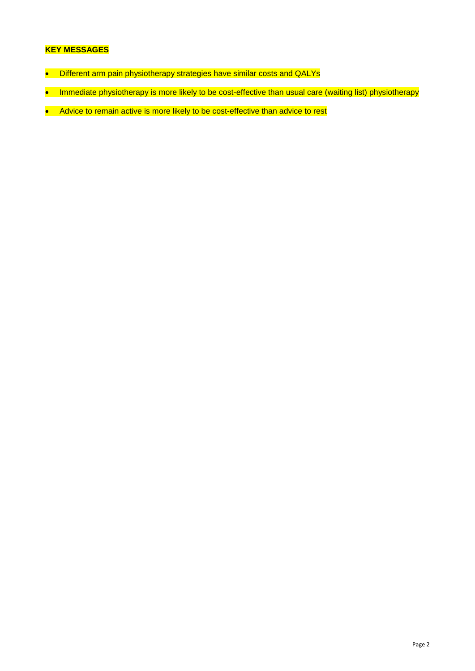## **KEY MESSAGES**

- Different arm pain physiotherapy strategies have similar costs and QALYs
- Immediate physiotherapy is more likely to be cost-effective than usual care (waiting list) physiotherapy
- Advice to remain active is more likely to be cost-effective than advice to rest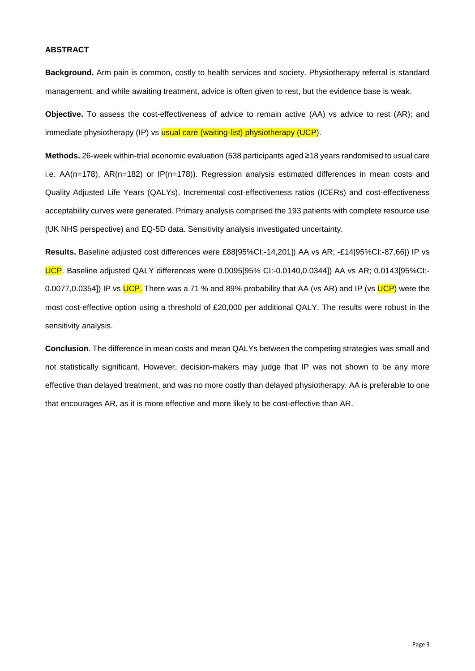## **ABSTRACT**

**Background.** Arm pain is common, costly to health services and society. Physiotherapy referral is standard management, and while awaiting treatment, advice is often given to rest, but the evidence base is weak.

**Objective.** To assess the cost-effectiveness of advice to remain active (AA) vs advice to rest (AR); and immediate physiotherapy (IP) vs usual care (waiting-list) physiotherapy (UCP).

**Methods.** 26-week within-trial economic evaluation (538 participants aged ≥18 years randomised to usual care i.e. AA(n=178), AR(n=182) or IP(n=178)). Regression analysis estimated differences in mean costs and Quality Adjusted Life Years (QALYs). Incremental cost-effectiveness ratios (ICERs) and cost-effectiveness acceptability curves were generated. Primary analysis comprised the 193 patients with complete resource use (UK NHS perspective) and EQ-5D data. Sensitivity analysis investigated uncertainty.

**Results.** Baseline adjusted cost differences were £88[95%CI:-14,201]) AA vs AR; -£14[95%CI:-87,66]) IP vs UCP. Baseline adjusted QALY differences were 0.0095[95% CI:-0.0140,0.0344]) AA vs AR; 0.0143[95%CI:- 0.0077,0.0354]) IP vs UCP. There was a 71 % and 89% probability that AA (vs AR) and IP (vs UCP) were the most cost-effective option using a threshold of £20,000 per additional QALY. The results were robust in the sensitivity analysis.

**Conclusion**. The difference in mean costs and mean QALYs between the competing strategies was small and not statistically significant. However, decision-makers may judge that IP was not shown to be any more effective than delayed treatment, and was no more costly than delayed physiotherapy. AA is preferable to one that encourages AR, as it is more effective and more likely to be cost-effective than AR.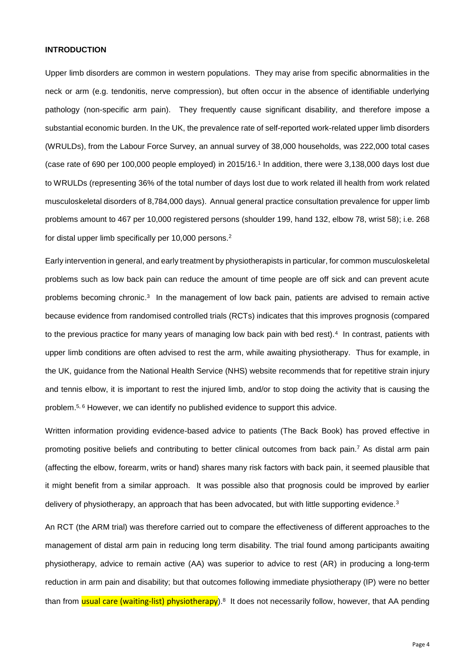## **INTRODUCTION**

Upper limb disorders are common in western populations. They may arise from specific abnormalities in the neck or arm (e.g. tendonitis, nerve compression), but often occur in the absence of identifiable underlying pathology (non-specific arm pain). They frequently cause significant disability, and therefore impose a substantial economic burden. In the UK, the prevalence rate of self-reported work-related upper limb disorders (WRULDs), from the Labour Force Survey, an annual survey of 38,000 households, was 222,000 total cases (case rate of 690 per 100,000 people employed) in 2015/16.<sup>1</sup> In addition, there were 3,138,000 days lost due to WRULDs (representing 36% of the total number of days lost due to work related ill health from work related musculoskeletal disorders of 8,784,000 days). Annual general practice consultation prevalence for upper limb problems amount to 467 per 10,000 registered persons (shoulder 199, hand 132, elbow 78, wrist 58); i.e. 268 for distal upper limb specifically per 10,000 persons.<sup>2</sup>

Early intervention in general, and early treatment by physiotherapists in particular, for common musculoskeletal problems such as low back pain can reduce the amount of time people are off sick and can prevent acute problems becoming chronic.<sup>3</sup> In the management of low back pain, patients are advised to remain active because evidence from randomised controlled trials (RCTs) indicates that this improves prognosis (compared to the previous practice for many years of managing low back pain with bed rest).<sup>4</sup> In contrast, patients with upper limb conditions are often advised to rest the arm, while awaiting physiotherapy. Thus for example, in the UK, guidance from the National Health Service (NHS) website recommends that for repetitive strain injury and tennis elbow, it is important to rest the injured limb, and/or to stop doing the activity that is causing the problem.<sup>5, 6</sup> However, we can identify no published evidence to support this advice.

Written information providing evidence-based advice to patients (The Back Book) has proved effective in promoting positive beliefs and contributing to better clinical outcomes from back pain.<sup>7</sup> As distal arm pain (affecting the elbow, forearm, writs or hand) shares many risk factors with back pain, it seemed plausible that it might benefit from a similar approach. It was possible also that prognosis could be improved by earlier delivery of physiotherapy, an approach that has been advocated, but with little supporting evidence.<sup>3</sup>

An RCT (the ARM trial) was therefore carried out to compare the effectiveness of different approaches to the management of distal arm pain in reducing long term disability. The trial found among participants awaiting physiotherapy, advice to remain active (AA) was superior to advice to rest (AR) in producing a long-term reduction in arm pain and disability; but that outcomes following immediate physiotherapy (IP) were no better than from <mark>usual care (waiting-list) physiotherapy</mark>).<sup>8</sup> It does not necessarily follow, however, that AA pending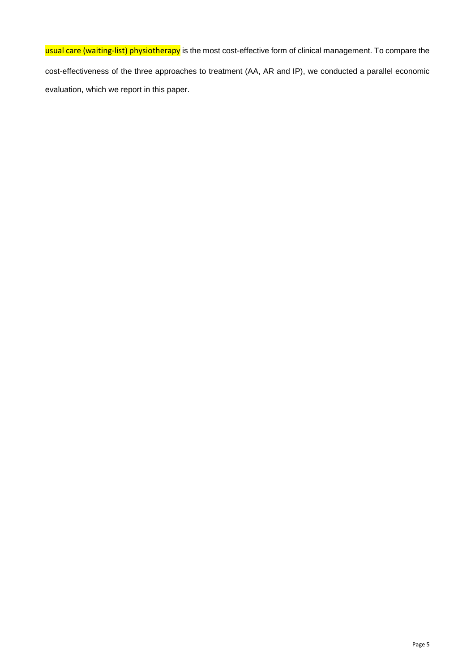usual care (waiting-list) physiotherapy is the most cost-effective form of clinical management. To compare the cost-effectiveness of the three approaches to treatment (AA, AR and IP), we conducted a parallel economic evaluation, which we report in this paper.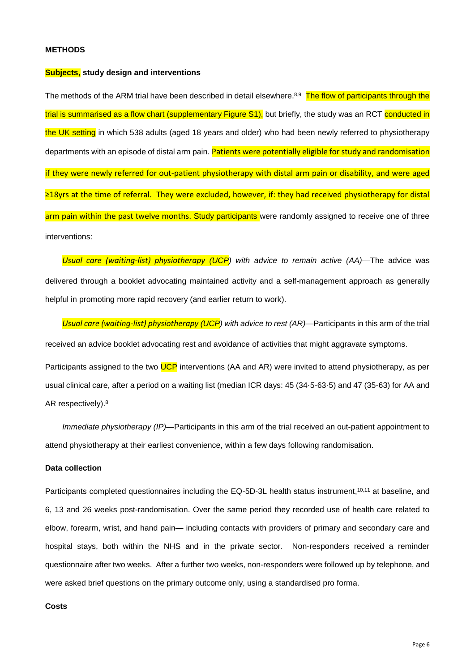### **METHODS**

#### **Subjects, study design and interventions**

The methods of the ARM trial have been described in detail elsewhere.<sup>8,9</sup> The flow of participants through the trial is summarised as a flow chart (supplementary Figure S1), but briefly, the study was an RCT conducted in the UK setting in which 538 adults (aged 18 years and older) who had been newly referred to physiotherapy departments with an episode of distal arm pain. Patients were potentially eligible for study and randomisation if they were newly referred for out-patient physiotherapy with distal arm pain or disability, and were aged ≥18yrs at the time of referral. They were excluded, however, if: they had received physiotherapy for distal arm pain within the past twelve months. Study participants were randomly assigned to receive one of three interventions:

*Usual care (waiting-list) physiotherapy (UCP) with advice to remain active (AA)*—The advice was delivered through a booklet advocating maintained activity and a self-management approach as generally helpful in promoting more rapid recovery (and earlier return to work).

*Usual care (waiting-list) physiotherapy (UCP) with advice to rest (AR)*—Participants in this arm of the trial received an advice booklet advocating rest and avoidance of activities that might aggravate symptoms.

Participants assigned to the two UCP interventions (AA and AR) were invited to attend physiotherapy, as per usual clinical care, after a period on a waiting list (median ICR days: 45 (34·5-63·5) and 47 (35-63) for AA and AR respectively).<sup>8</sup>

*Immediate physiotherapy (IP)*—Participants in this arm of the trial received an out-patient appointment to attend physiotherapy at their earliest convenience, within a few days following randomisation.

## **Data collection**

Participants completed questionnaires including the EQ-5D-3L health status instrument,<sup>10,11</sup> at baseline, and 6, 13 and 26 weeks post-randomisation. Over the same period they recorded use of health care related to elbow, forearm, wrist, and hand pain— including contacts with providers of primary and secondary care and hospital stays, both within the NHS and in the private sector. Non-responders received a reminder questionnaire after two weeks. After a further two weeks, non-responders were followed up by telephone, and were asked brief questions on the primary outcome only, using a standardised pro forma.

## **Costs**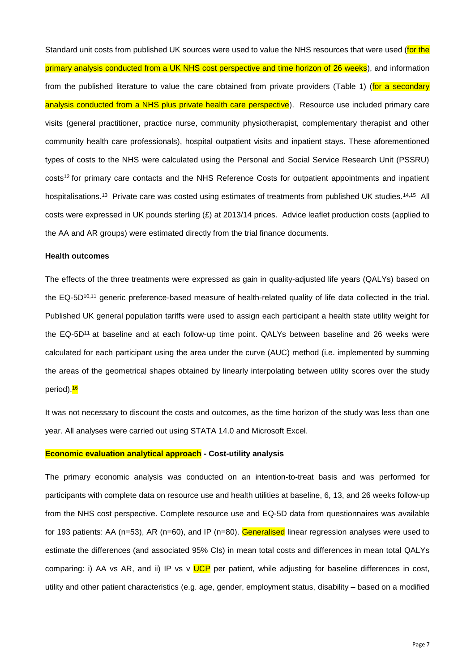Standard unit costs from published UK sources were used to value the NHS resources that were used (for the primary analysis conducted from a UK NHS cost perspective and time horizon of 26 weeks), and information from the published literature to value the care obtained from private providers (Table 1) (for a secondary analysis conducted from a NHS plus private health care perspective). Resource use included primary care visits (general practitioner, practice nurse, community physiotherapist, complementary therapist and other community health care professionals), hospital outpatient visits and inpatient stays. These aforementioned types of costs to the NHS were calculated using the Personal and Social Service Research Unit (PSSRU) costs<sup>12</sup> for primary care contacts and the NHS Reference Costs for outpatient appointments and inpatient hospitalisations.<sup>13</sup> Private care was costed using estimates of treatments from published UK studies.<sup>14,15</sup> All costs were expressed in UK pounds sterling (£) at 2013/14 prices. Advice leaflet production costs (applied to the AA and AR groups) were estimated directly from the trial finance documents.

#### **Health outcomes**

The effects of the three treatments were expressed as gain in quality-adjusted life years (QALYs) based on the EQ-5D10,11 generic preference-based measure of health-related quality of life data collected in the trial. Published UK general population tariffs were used to assign each participant a health state utility weight for the EQ-5D<sup>11</sup> at baseline and at each follow-up time point. QALYs between baseline and 26 weeks were calculated for each participant using the area under the curve (AUC) method (i.e. implemented by summing the areas of the geometrical shapes obtained by linearly interpolating between utility scores over the study period).<sup>16</sup>

It was not necessary to discount the costs and outcomes, as the time horizon of the study was less than one year. All analyses were carried out using STATA 14.0 and Microsoft Excel.

#### **Economic evaluation analytical approach - Cost-utility analysis**

The primary economic analysis was conducted on an intention-to-treat basis and was performed for participants with complete data on resource use and health utilities at baseline, 6, 13, and 26 weeks follow-up from the NHS cost perspective. Complete resource use and EQ-5D data from questionnaires was available for 193 patients: AA (n=53), AR (n=60), and IP (n=80). Generalised linear regression analyses were used to estimate the differences (and associated 95% CIs) in mean total costs and differences in mean total QALYs comparing: i) AA vs AR, and ii) IP vs v UCP per patient, while adjusting for baseline differences in cost, utility and other patient characteristics (e.g. age, gender, employment status, disability – based on a modified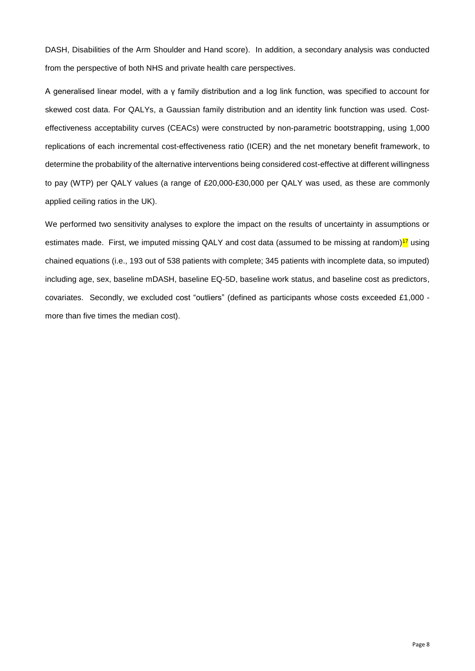DASH, Disabilities of the Arm Shoulder and Hand score). In addition, a secondary analysis was conducted from the perspective of both NHS and private health care perspectives.

A generalised linear model, with a γ family distribution and a log link function, was specified to account for skewed cost data. For QALYs, a Gaussian family distribution and an identity link function was used. Costeffectiveness acceptability curves (CEACs) were constructed by non-parametric bootstrapping, using 1,000 replications of each incremental cost-effectiveness ratio (ICER) and the net monetary benefit framework, to determine the probability of the alternative interventions being considered cost-effective at different willingness to pay (WTP) per QALY values (a range of £20,000-£30,000 per QALY was used, as these are commonly applied ceiling ratios in the UK).

We performed two sensitivity analyses to explore the impact on the results of uncertainty in assumptions or estimates made. First, we imputed missing QALY and cost data (assumed to be missing at random) $17$  using chained equations (i.e., 193 out of 538 patients with complete; 345 patients with incomplete data, so imputed) including age, sex, baseline mDASH, baseline EQ-5D, baseline work status, and baseline cost as predictors, covariates. Secondly, we excluded cost "outliers" (defined as participants whose costs exceeded £1,000 more than five times the median cost).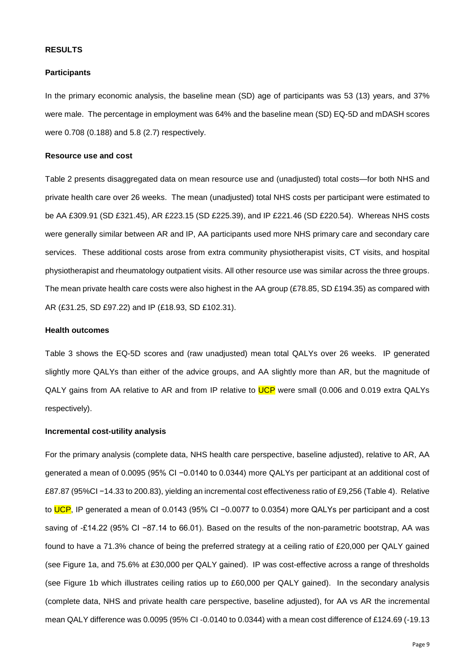#### **RESULTS**

#### **Participants**

In the primary economic analysis, the baseline mean (SD) age of participants was 53 (13) years, and 37% were male. The percentage in employment was 64% and the baseline mean (SD) EQ-5D and mDASH scores were 0.708 (0.188) and 5.8 (2.7) respectively.

## **Resource use and cost**

Table 2 presents disaggregated data on mean resource use and (unadjusted) total costs—for both NHS and private health care over 26 weeks. The mean (unadjusted) total NHS costs per participant were estimated to be AA £309.91 (SD £321.45), AR £223.15 (SD £225.39), and IP £221.46 (SD £220.54). Whereas NHS costs were generally similar between AR and IP, AA participants used more NHS primary care and secondary care services. These additional costs arose from extra community physiotherapist visits, CT visits, and hospital physiotherapist and rheumatology outpatient visits. All other resource use was similar across the three groups. The mean private health care costs were also highest in the AA group (£78.85, SD £194.35) as compared with AR (£31.25, SD £97.22) and IP (£18.93, SD £102.31).

## **Health outcomes**

Table 3 shows the EQ-5D scores and (raw unadjusted) mean total QALYs over 26 weeks. IP generated slightly more QALYs than either of the advice groups, and AA slightly more than AR, but the magnitude of QALY gains from AA relative to AR and from IP relative to UCP were small (0.006 and 0.019 extra QALYs respectively).

### **Incremental cost-utility analysis**

For the primary analysis (complete data, NHS health care perspective, baseline adjusted), relative to AR, AA generated a mean of 0.0095 (95% CI −0.0140 to 0.0344) more QALYs per participant at an additional cost of £87.87 (95%CI −14.33 to 200.83), yielding an incremental cost effectiveness ratio of £9,256 (Table 4). Relative to UCP, IP generated a mean of 0.0143 (95% CI -0.0077 to 0.0354) more QALYs per participant and a cost saving of -£14.22 (95% CI −87.14 to 66.01). Based on the results of the non-parametric bootstrap, AA was found to have a 71.3% chance of being the preferred strategy at a ceiling ratio of £20,000 per QALY gained (see Figure 1a, and 75.6% at £30,000 per QALY gained). IP was cost-effective across a range of thresholds (see Figure 1b which illustrates ceiling ratios up to £60,000 per QALY gained). In the secondary analysis (complete data, NHS and private health care perspective, baseline adjusted), for AA vs AR the incremental mean QALY difference was 0.0095 (95% CI -0.0140 to 0.0344) with a mean cost difference of £124.69 (-19.13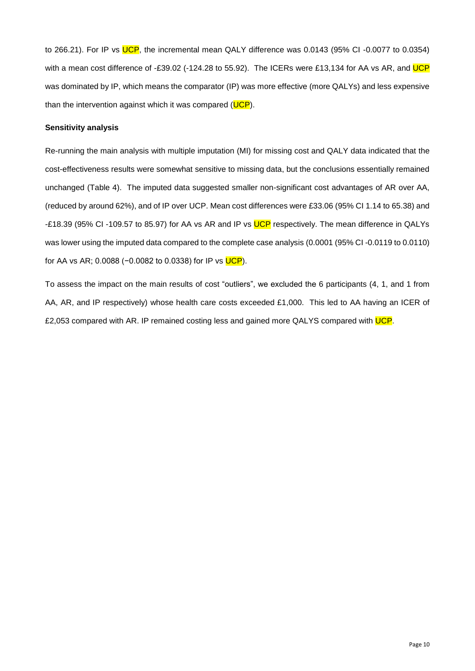to 266.21). For IP vs UCP, the incremental mean QALY difference was 0.0143 (95% CI-0.0077 to 0.0354) with a mean cost difference of -£39.02 (-124.28 to 55.92). The ICERs were £13,134 for AA vs AR, and UCP was dominated by IP, which means the comparator (IP) was more effective (more QALYs) and less expensive than the intervention against which it was compared (UCP).

## **Sensitivity analysis**

Re-running the main analysis with multiple imputation (MI) for missing cost and QALY data indicated that the cost-effectiveness results were somewhat sensitive to missing data, but the conclusions essentially remained unchanged (Table 4). The imputed data suggested smaller non-significant cost advantages of AR over AA, (reduced by around 62%), and of IP over UCP. Mean cost differences were £33.06 (95% CI 1.14 to 65.38) and -£18.39 (95% CI-109.57 to 85.97) for AA vs AR and IP vs UCP respectively. The mean difference in QALYs was lower using the imputed data compared to the complete case analysis (0.0001 (95% CI -0.0119 to 0.0110) for AA vs AR; 0.0088 (−0.0082 to 0.0338) for IP vs UCP).

To assess the impact on the main results of cost "outliers", we excluded the 6 participants (4, 1, and 1 from AA, AR, and IP respectively) whose health care costs exceeded £1,000. This led to AA having an ICER of £2,053 compared with AR. IP remained costing less and gained more QALYS compared with UCP.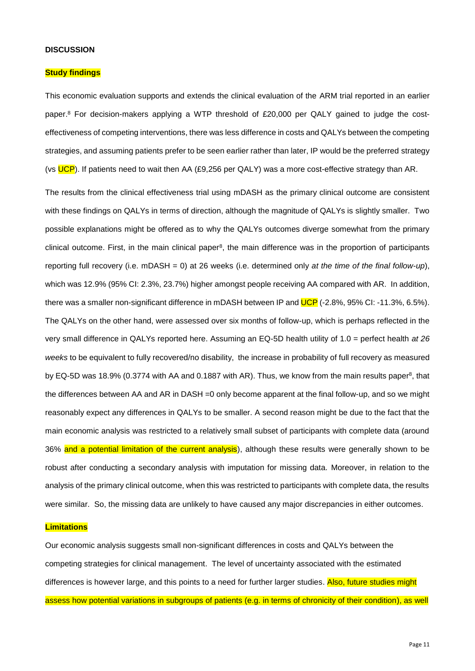### **DISCUSSION**

#### **Study findings**

This economic evaluation supports and extends the clinical evaluation of the ARM trial reported in an earlier paper. <sup>8</sup> For decision-makers applying a WTP threshold of £20,000 per QALY gained to judge the costeffectiveness of competing interventions, there was less difference in costs and QALYs between the competing strategies, and assuming patients prefer to be seen earlier rather than later, IP would be the preferred strategy (vs UCP). If patients need to wait then AA (£9,256 per QALY) was a more cost-effective strategy than AR.

The results from the clinical effectiveness trial using mDASH as the primary clinical outcome are consistent with these findings on QALYs in terms of direction, although the magnitude of QALYs is slightly smaller. Two possible explanations might be offered as to why the QALYs outcomes diverge somewhat from the primary clinical outcome. First, in the main clinical paper<sup>8</sup>, the main difference was in the proportion of participants reporting full recovery (i.e. mDASH = 0) at 26 weeks (i.e. determined only *at the time of the final follow-up*), which was 12.9% (95% CI: 2.3%, 23.7%) higher amongst people receiving AA compared with AR. In addition, there was a smaller non-significant difference in mDASH between IP and UCP (-2.8%, 95% CI: -11.3%, 6.5%). The QALYs on the other hand, were assessed over six months of follow-up, which is perhaps reflected in the very small difference in QALYs reported here. Assuming an EQ-5D health utility of 1.0 = perfect health *at 26 weeks* to be equivalent to fully recovered/no disability, the increase in probability of full recovery as measured by EQ-5D was 18.9% (0.3774 with AA and 0.1887 with AR). Thus, we know from the main results paper<sup>8</sup>, that the differences between AA and AR in DASH =0 only become apparent at the final follow-up, and so we might reasonably expect any differences in QALYs to be smaller. A second reason might be due to the fact that the main economic analysis was restricted to a relatively small subset of participants with complete data (around 36% and a potential limitation of the current analysis), although these results were generally shown to be robust after conducting a secondary analysis with imputation for missing data. Moreover, in relation to the analysis of the primary clinical outcome, when this was restricted to participants with complete data, the results were similar. So, the missing data are unlikely to have caused any major discrepancies in either outcomes.

### **Limitations**

Our economic analysis suggests small non-significant differences in costs and QALYs between the competing strategies for clinical management. The level of uncertainty associated with the estimated differences is however large, and this points to a need for further larger studies. Also, future studies might assess how potential variations in subgroups of patients (e.g. in terms of chronicity of their condition), as well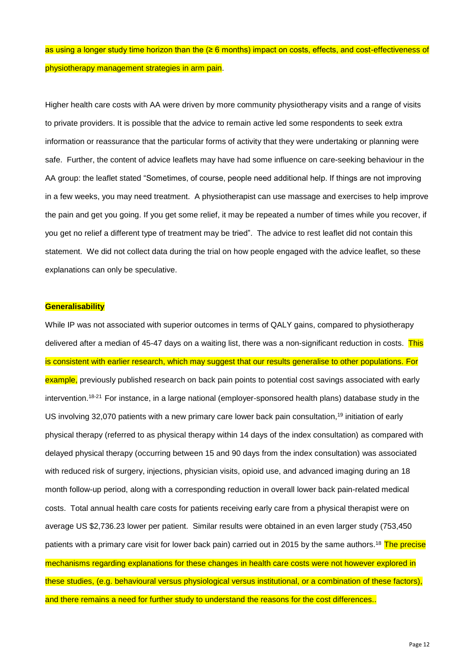as using a longer study time horizon than the (≥ 6 months) impact on costs, effects, and cost-effectiveness of physiotherapy management strategies in arm pain.

Higher health care costs with AA were driven by more community physiotherapy visits and a range of visits to private providers. It is possible that the advice to remain active led some respondents to seek extra information or reassurance that the particular forms of activity that they were undertaking or planning were safe. Further, the content of advice leaflets may have had some influence on care-seeking behaviour in the AA group: the leaflet stated "Sometimes, of course, people need additional help. If things are not improving in a few weeks, you may need treatment. A physiotherapist can use massage and exercises to help improve the pain and get you going. If you get some relief, it may be repeated a number of times while you recover, if you get no relief a different type of treatment may be tried". The advice to rest leaflet did not contain this statement. We did not collect data during the trial on how people engaged with the advice leaflet, so these explanations can only be speculative.

#### **Generalisability**

While IP was not associated with superior outcomes in terms of QALY gains, compared to physiotherapy delivered after a median of 45-47 days on a waiting list, there was a non-significant reduction in costs. This is consistent with earlier research, which may suggest that our results generalise to other populations. For example, previously published research on back pain points to potential cost savings associated with early intervention.<sup>18-21</sup> For instance, in a large national (employer-sponsored health plans) database study in the US involving 32,070 patients with a new primary care lower back pain consultation,<sup>19</sup> initiation of early physical therapy (referred to as physical therapy within 14 days of the index consultation) as compared with delayed physical therapy (occurring between 15 and 90 days from the index consultation) was associated with reduced risk of surgery, injections, physician visits, opioid use, and advanced imaging during an 18 month follow-up period, along with a corresponding reduction in overall lower back pain-related medical costs. Total annual health care costs for patients receiving early care from a physical therapist were on average US \$2,736.23 lower per patient. Similar results were obtained in an even larger study (753,450 patients with a primary care visit for lower back pain) carried out in 2015 by the same authors.<sup>18</sup> The precise mechanisms regarding explanations for these changes in health care costs were not however explored in these studies, (e.g. behavioural versus physiological versus institutional, or a combination of these factors), and there remains a need for further study to understand the reasons for the cost differences..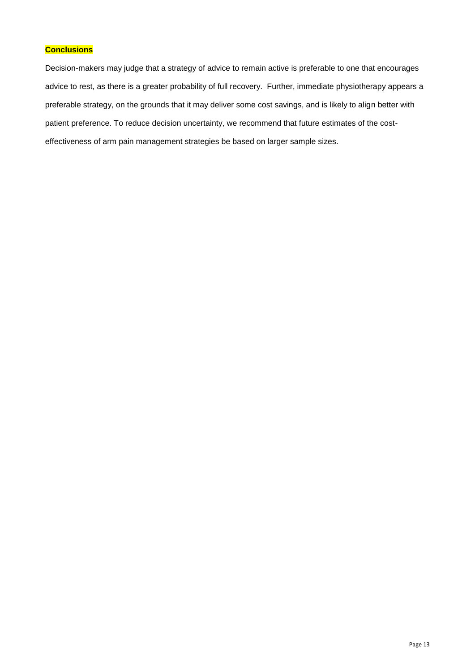## **Conclusions**

Decision-makers may judge that a strategy of advice to remain active is preferable to one that encourages advice to rest, as there is a greater probability of full recovery. Further, immediate physiotherapy appears a preferable strategy, on the grounds that it may deliver some cost savings, and is likely to align better with patient preference. To reduce decision uncertainty, we recommend that future estimates of the costeffectiveness of arm pain management strategies be based on larger sample sizes.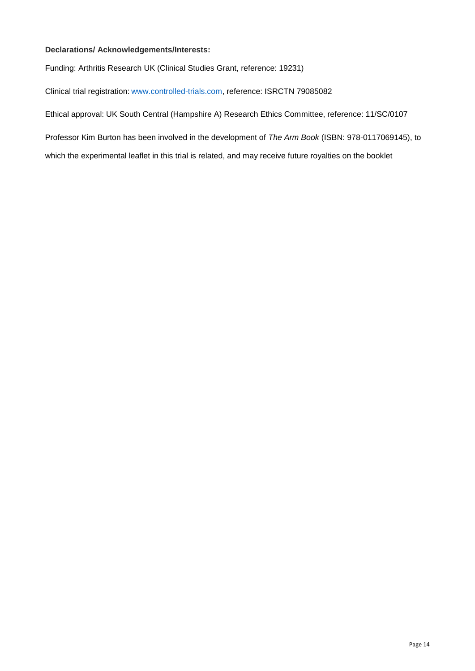## **Declarations/ Acknowledgements/Interests:**

Funding: Arthritis Research UK (Clinical Studies Grant, reference: 19231)

Clinical trial registration: [www.controlled-trials.com,](http://www.controlled-trials.com/) reference: ISRCTN 79085082

Ethical approval: UK South Central (Hampshire A) Research Ethics Committee, reference: 11/SC/0107

Professor Kim Burton has been involved in the development of *The Arm Book* (ISBN: 978-0117069145), to

which the experimental leaflet in this trial is related, and may receive future royalties on the booklet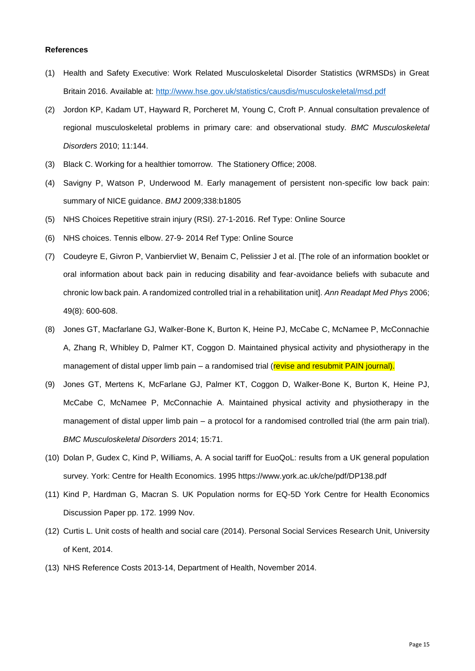#### **References**

- (1) Health and Safety Executive: Work Related Musculoskeletal Disorder Statistics (WRMSDs) in Great Britain 2016. Available at:<http://www.hse.gov.uk/statistics/causdis/musculoskeletal/msd.pdf>
- (2) Jordon KP, Kadam UT, Hayward R, Porcheret M, Young C, Croft P. Annual consultation prevalence of regional musculoskeletal problems in primary care: and observational study. *BMC Musculoskeletal Disorders* 2010; 11:144.
- (3) Black C. Working for a healthier tomorrow. The Stationery Office; 2008.
- (4) Savigny P, Watson P, Underwood M. Early management of persistent non-specific low back pain: summary of NICE guidance. *BMJ* 2009;338:b1805
- (5) NHS Choices Repetitive strain injury (RSI). 27-1-2016. Ref Type: Online Source
- (6) NHS choices. Tennis elbow. 27-9- 2014 Ref Type: Online Source
- (7) Coudeyre E, Givron P, Vanbiervliet W, Benaim C, Pelissier J et al. [The role of an information booklet or oral information about back pain in reducing disability and fear-avoidance beliefs with subacute and chronic low back pain. A randomized controlled trial in a rehabilitation unit]. *Ann Readapt Med Phys* 2006; 49(8): 600-608.
- (8) Jones GT, Macfarlane GJ, Walker-Bone K, Burton K, Heine PJ, McCabe C, McNamee P, McConnachie A, Zhang R, Whibley D, Palmer KT, Coggon D. Maintained physical activity and physiotherapy in the management of distal upper limb pain – a randomised trial (revise and resubmit PAIN journal).
- (9) Jones GT, Mertens K, McFarlane GJ, Palmer KT, Coggon D, Walker-Bone K, Burton K, Heine PJ, McCabe C, McNamee P, McConnachie A. Maintained physical activity and physiotherapy in the management of distal upper limb pain – a protocol for a randomised controlled trial (the arm pain trial). *BMC Musculoskeletal Disorders* 2014; 15:71.
- (10) Dolan P, Gudex C, Kind P, Williams, A. A social tariff for EuoQoL: results from a UK general population survey. York: Centre for Health Economics. 1995<https://www.york.ac.uk/che/pdf/DP138.pdf>
- (11) Kind P, Hardman G, Macran S. UK Population norms for EQ-5D York Centre for Health Economics Discussion Paper pp. 172. 1999 Nov.
- (12) Curtis L. Unit costs of health and social care (2014). Personal Social Services Research Unit, University of Kent, 2014.
- (13) NHS Reference Costs 2013-14, Department of Health, November 2014.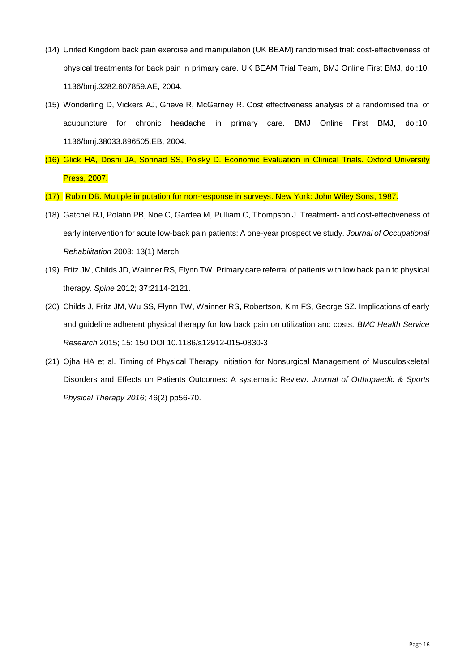- (14) United Kingdom back pain exercise and manipulation (UK BEAM) randomised trial: cost-effectiveness of physical treatments for back pain in primary care. UK BEAM Trial Team, BMJ Online First BMJ, doi:10. 1136/bmj.3282.607859.AE, 2004.
- (15) Wonderling D, Vickers AJ, Grieve R, McGarney R. Cost effectiveness analysis of a randomised trial of acupuncture for chronic headache in primary care. BMJ Online First BMJ, doi:10. 1136/bmj.38033.896505.EB, 2004.
- (16) Glick HA, Doshi JA, Sonnad SS, Polsky D. Economic Evaluation in Clinical Trials. Oxford University Press, 2007.
- (17) Rubin DB. Multiple imputation for non-response in surveys. New York: John Wiley Sons, 1987.
- (18) Gatchel RJ, Polatin PB, Noe C, Gardea M, Pulliam C, Thompson J. Treatment- and cost-effectiveness of early intervention for acute low-back pain patients: A one-year prospective study. *Journal of Occupational Rehabilitation* 2003; 13(1) March.
- (19) Fritz JM, Childs JD, Wainner RS, Flynn TW. Primary care referral of patients with low back pain to physical therapy. *Spine* 2012; 37:2114-2121.
- (20) Childs J, Fritz JM, Wu SS, Flynn TW, Wainner RS, Robertson, Kim FS, George SZ. Implications of early and guideline adherent physical therapy for low back pain on utilization and costs. *BMC Health Service Research* 2015; 15: 150 DOI 10.1186/s12912-015-0830-3
- (21) Ojha HA et al. Timing of Physical Therapy Initiation for Nonsurgical Management of Musculoskeletal Disorders and Effects on Patients Outcomes: A systematic Review. *Journal of Orthopaedic & Sports Physical Therapy 2016*; 46(2) pp56-70.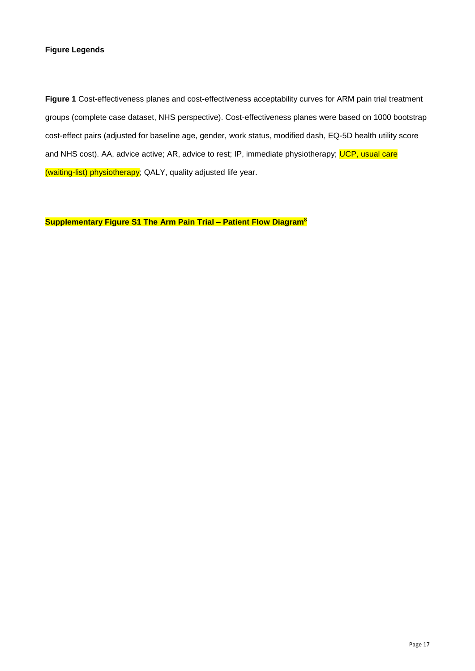## **Figure Legends**

**Figure 1** Cost-effectiveness planes and cost-effectiveness acceptability curves for ARM pain trial treatment groups (complete case dataset, NHS perspective). Cost-effectiveness planes were based on 1000 bootstrap cost-effect pairs (adjusted for baseline age, gender, work status, modified dash, EQ-5D health utility score and NHS cost). AA, advice active; AR, advice to rest; IP, immediate physiotherapy; UCP, usual care (waiting-list) physiotherapy; QALY, quality adjusted life year.

**Supplementary Figure S1 The Arm Pain Trial – Patient Flow Diagram<sup>8</sup>**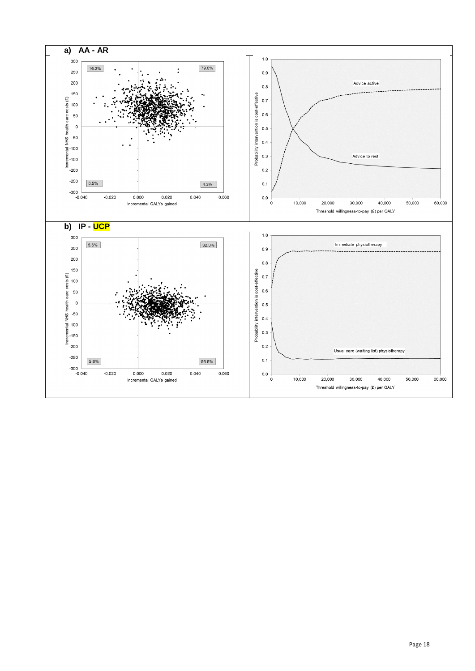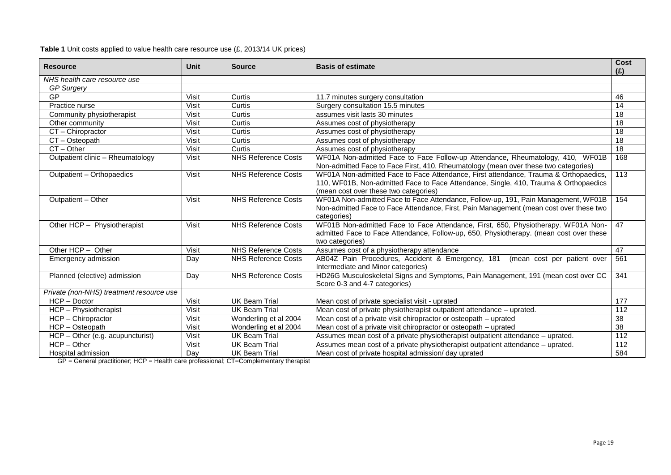**Table 1** Unit costs applied to value health care resource use (£, 2013/14 UK prices)

| <b>Resource</b>                          | Unit         | <b>Source</b>              | <b>Basis of estimate</b>                                                                                                                                                                                              | Cost<br>(E)      |
|------------------------------------------|--------------|----------------------------|-----------------------------------------------------------------------------------------------------------------------------------------------------------------------------------------------------------------------|------------------|
| NHS health care resource use             |              |                            |                                                                                                                                                                                                                       |                  |
| <b>GP Surgery</b>                        |              |                            |                                                                                                                                                                                                                       |                  |
| GP                                       | Visit        | Curtis                     | 11.7 minutes surgery consultation                                                                                                                                                                                     | 46               |
| Practice nurse                           | Visit        | Curtis                     | Surgery consultation 15.5 minutes                                                                                                                                                                                     | 14               |
| Community physiotherapist                | Visit        | Curtis                     | assumes visit lasts 30 minutes                                                                                                                                                                                        | 18               |
| Other community                          | Visit        | Curtis                     | Assumes cost of physiotherapy                                                                                                                                                                                         | 18               |
| CT - Chiropractor                        | Visit        | Curtis                     | Assumes cost of physiotherapy                                                                                                                                                                                         | 18               |
| CT - Osteopath                           | Visit        | Curtis                     | Assumes cost of physiotherapy                                                                                                                                                                                         | 18               |
| $CT - Other$                             | Visit        | Curtis                     | Assumes cost of physiotherapy                                                                                                                                                                                         | 18               |
| Outpatient clinic - Rheumatology         | <b>Visit</b> | <b>NHS Reference Costs</b> | WF01A Non-admitted Face to Face Follow-up Attendance, Rheumatology, 410, WF01B<br>Non-admitted Face to Face First, 410, Rheumatology (mean over these two categories)                                                 | 168              |
| Outpatient - Orthopaedics                | Visit        | <b>NHS Reference Costs</b> | WF01A Non-admitted Face to Face Attendance, First attendance, Trauma & Orthopaedics,<br>110, WF01B, Non-admitted Face to Face Attendance, Single, 410, Trauma & Orthopaedics<br>(mean cost over these two categories) | 113              |
| Outpatient - Other                       | Visit        | <b>NHS Reference Costs</b> | WF01A Non-admitted Face to Face Attendance, Follow-up, 191, Pain Management, WF01B<br>Non-admitted Face to Face Attendance, First, Pain Management (mean cost over these two<br>categories)                           | 154              |
| Other HCP - Physiotherapist              | Visit        | <b>NHS Reference Costs</b> | WF01B Non-admitted Face to Face Attendance, First, 650, Physiotherapy. WF01A Non-<br>admitted Face to Face Attendance, Follow-up, 650, Physiotherapy. (mean cost over these<br>two categories)                        | 47               |
| Other HCP - Other                        | Visit        | NHS Reference Costs        | Assumes cost of a physiotherapy attendance                                                                                                                                                                            | 47               |
| Emergency admission                      | Day          | <b>NHS Reference Costs</b> | AB04Z Pain Procedures, Accident & Emergency, 181 (mean cost per patient over<br>Intermediate and Minor categories)                                                                                                    | 561              |
| Planned (elective) admission             | Day          | <b>NHS Reference Costs</b> | HD26G Musculoskeletal Signs and Symptoms, Pain Management, 191 (mean cost over CC<br>Score 0-3 and 4-7 categories)                                                                                                    | 341              |
| Private (non-NHS) treatment resource use |              |                            |                                                                                                                                                                                                                       |                  |
| HCP - Doctor                             | Visit        | <b>UK Beam Trial</b>       | Mean cost of private specialist visit - uprated                                                                                                                                                                       | 177              |
| HCP - Physiotherapist                    | Visit        | <b>UK Beam Trial</b>       | Mean cost of private physiotherapist outpatient attendance – uprated.                                                                                                                                                 | 112              |
| HCP - Chiropractor                       | Visit        | Wonderling et al 2004      | Mean cost of a private visit chiropractor or osteopath - uprated                                                                                                                                                      | 38               |
| HCP - Osteopath                          | Visit        | Wonderling et al 2004      | Mean cost of a private visit chiropractor or osteopath – uprated                                                                                                                                                      | $\overline{38}$  |
| HCP - Other (e.g. acupuncturist)         | Visit        | <b>UK Beam Trial</b>       | Assumes mean cost of a private physiotherapist outpatient attendance - uprated.                                                                                                                                       | $\overline{112}$ |
| $HCP - Other$                            | Visit        | <b>UK Beam Trial</b>       | Assumes mean cost of a private physiotherapist outpatient attendance – uprated.                                                                                                                                       | 112              |
| Hospital admission                       | Day          | <b>UK Beam Trial</b>       | Mean cost of private hospital admission/ day uprated                                                                                                                                                                  | 584              |

GP = General practitioner; HCP = Health care professional; CT=Complementary therapist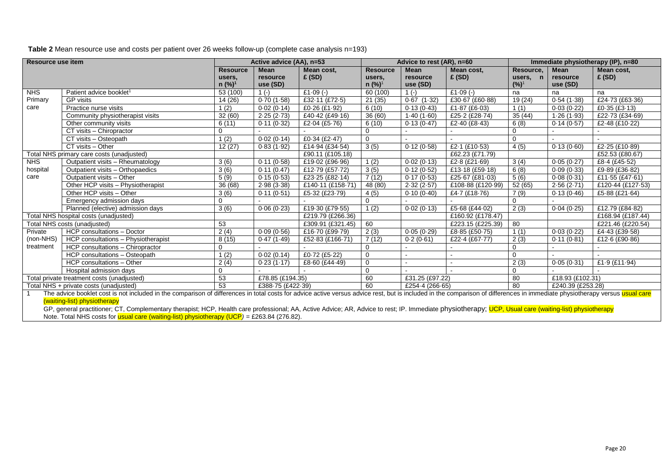**Table 2** Mean resource use and costs per patient over 26 weeks follow-up (complete case analysis n=193)

| Resource use item                                                                                                                                                                                                           |                                                         | Active advice (AA), n=53     |                   | Advice to rest (AR), n=60 |                              |                      | Immediate physiotherapy (IP), n=80 |             |                      |                      |
|-----------------------------------------------------------------------------------------------------------------------------------------------------------------------------------------------------------------------------|---------------------------------------------------------|------------------------------|-------------------|---------------------------|------------------------------|----------------------|------------------------------------|-------------|----------------------|----------------------|
|                                                                                                                                                                                                                             |                                                         | <b>Resource</b>              | Mean              | Mean cost,                | <b>Resource</b>              | <b>Mean</b>          | Mean cost,                         | Resource,   | <b>Mean</b>          | Mean cost,           |
|                                                                                                                                                                                                                             |                                                         | users,<br>n (%) <sup>1</sup> | resource          | £ (SD)                    | users,<br>n (%) <sup>1</sup> | resource<br>use (SD) | E(SD)                              | users, n    | resource<br>use (SD) | E(SD)                |
| <b>NHS</b>                                                                                                                                                                                                                  |                                                         |                              | use (SD)          | £1 $-09$ $(-)$            |                              |                      | £1 $-09$ (-)                       | $(%)^1$     |                      |                      |
| Primary                                                                                                                                                                                                                     | Patient advice booklet <sup>1</sup><br><b>GP</b> visits | 53 (100)                     | $1(-)$            |                           | 60 (100)                     | $1(-)$               |                                    | na          | na                   | na                   |
|                                                                                                                                                                                                                             |                                                         | 14 (26)                      | 0.70(1.58)        | £32-11 (£72-5)            | 21(35)                       | $0.67$ $(1.32)$      | £30-67 (£60-88)                    | 19 (24)     | 0.54(1.38)           | £24.73 (£63.36)      |
| care                                                                                                                                                                                                                        | Practice nurse visits                                   | 1(2)                         | 0.02(0.14)        | £0.26 (£1.92)             | 6(10)                        | 0.13(0.43)           | £1 $-87$ (£6 $-03$ )               | 1(1)        | 0.03(0.22)           | £0 $-35$ (£3 $-13$ ) |
|                                                                                                                                                                                                                             | Community physiotherapist visits                        | 32(60)                       | 2.25(2.73)        | £40-42 (£49-16)           | 36(60)                       | 1.40(1.60)           | £25-2 (£28-74)                     | 35(44)      | 1.26(1.93)           | £22.73 (£34.69)      |
|                                                                                                                                                                                                                             | Other community visits                                  | 6(11)                        | 0.11(0.32)        | £2 $-04$ (£5 $-76$ )      | 6(10)                        | 0.13(0.47)           | £2-40 (£8-43)                      | 6(8)        | 0.14(0.57)           | £2.48 (£10.22)       |
|                                                                                                                                                                                                                             | CT visits - Chiropractor                                | $\Omega$                     |                   |                           | 0                            |                      |                                    | $\Omega$    |                      |                      |
|                                                                                                                                                                                                                             | CT visits - Osteopath                                   | 1(2)                         | 0.02(0.14)        | £0-34 (£2-47)             | $\mathbf 0$                  |                      |                                    | $\Omega$    |                      |                      |
|                                                                                                                                                                                                                             | CT visits - Other                                       | 12(27)                       | 0.83(1.92)        | £14.94 (£34.54)           | 3(5)                         | 0.12(0.58)           | £2-1 (£10-53)                      | 4(5)        | 0.13(0.60)           | £2.25 (£10.89)       |
|                                                                                                                                                                                                                             | Total NHS primary care costs (unadjusted)               |                              |                   | £90.11 (£105.18)          |                              |                      | £62.23 (£71.79)                    |             |                      | £52.53 (£80.67)      |
| <b>NHS</b>                                                                                                                                                                                                                  | Outpatient visits - Rheumatology                        | 3(6)                         | 0.11(0.58)        | £19.02 (£96.96)           | 1(2)                         | 0.02(0.13)           | £2 $-8$ (£21 $-69$ )               | 3(4)        | 0.05(0.27)           | £8-4 (£45-52)        |
| hospital                                                                                                                                                                                                                    | Outpatient visits - Orthopaedics                        | 3(6)                         | 0.11(0.47)        | £12-79 (£57-72)           | 3(5)                         | 0.12(0.52)           | £13-18 (£59-18)                    | 6(8)        | 0.09(0.33)           | £9.89 (£36.82)       |
| care                                                                                                                                                                                                                        | Outpatient visits - Other                               | 5(9)                         | 0.15(0.53)        | £23-25 (£82-14)           | 7(12)                        | 0.17(0.53)           | £25.67 (£81.03)                    | 5(6)        | 0.08(0.31)           | £11.55 (£47.61)      |
|                                                                                                                                                                                                                             | Other HCP visits - Physiotherapist                      | 36 (68)                      | 2.98(3.38)        | £140-11 (£158-71)         | 48 (80)                      | 2.32(2.57)           | £108-88 (£120-99)                  | 52 (65)     | 2.56(2.71)           | £120.44 (£127.53)    |
|                                                                                                                                                                                                                             | Other HCP visits - Other                                | 3(6)                         | 0.11(0.51)        | £5.32 (£23.79)            | 4(5)                         | 0.10(0.40)           | £4.7 (£18.76)                      | 7(9)        | 0.13(0.46)           | £5-88 (£21-64)       |
|                                                                                                                                                                                                                             | Emergency admission days                                | $\Omega$                     |                   |                           | $\Omega$                     |                      |                                    | $\mathbf 0$ |                      |                      |
|                                                                                                                                                                                                                             | Planned (elective) admission days                       | 3(6)                         | 0.06(0.23)        | £19.30 (£79.55)           | (2)                          | 0.02(0.13)           | £5-68 (£44-02)                     | 2(3)        | 0.04(0.25)           | £12.79 (£84-82)      |
|                                                                                                                                                                                                                             | Total NHS hospital costs (unadjusted)                   |                              |                   | £219.79 (£266.36)         |                              |                      | £160.92 (£178.47)                  |             |                      | £168.94 (£187.44)    |
|                                                                                                                                                                                                                             | Total NHS costs (unadjusted)                            | 53                           |                   | £309.91 (£321.45)         | 60                           |                      | £223.15 (£225.39)                  | 80          |                      | £221.46 (£220.54)    |
| Private                                                                                                                                                                                                                     | <b>HCP</b> consultations - Doctor                       | 2(4)                         | 0.09(0.56)        | £16-70 (£99-79)           | 2(3)                         | 0.05(0.29)           | £8-85 (£50-75)                     | 1(1)        | 0.03(0.22)           | £4.43 (£39.58)       |
| (non-NHS)                                                                                                                                                                                                                   | HCP consultations - Physiotherapist                     | 8(15)                        | 0.47(1.49)        | £52.83 (£166.71)          | 7(12)                        | 0.2(0.61)            | £22-4 (£67-77)                     | 2(3)        | 0.11(0.81)           | £12.6 (£90.86)       |
| treatment                                                                                                                                                                                                                   | HCP consultations - Chiropractor                        | $\Omega$                     |                   |                           | 0                            |                      |                                    | 0           |                      |                      |
|                                                                                                                                                                                                                             | HCP consultations - Osteopath                           | 1(2)                         | 0.02(0.14)        | £0.72 (£5.22)             | $\mathbf 0$                  |                      |                                    | $\Omega$    |                      |                      |
|                                                                                                                                                                                                                             | HCP consultations - Other                               | 2(4)                         | 0.23(1.17)        | £8-60 (£44-49)            | $\mathbf 0$                  |                      |                                    | 2(3)        | 0.05(0.31)           | £1.9 $(E11.94)$      |
|                                                                                                                                                                                                                             | Hospital admission days                                 | 0                            |                   |                           | $\mathbf 0$                  |                      |                                    | 0           |                      |                      |
|                                                                                                                                                                                                                             | Total private treatment costs (unadjusted)              | 53                           | £78.85 (£194.35)  |                           | 60                           | £31.25 (£97.22)      |                                    | 80          | £18.93 (£102.31)     |                      |
|                                                                                                                                                                                                                             | Total NHS + private costs (unadjusted)                  | 53                           | £388-75 (£422-39) |                           | 60                           | £254-4 (266-65)      |                                    | 80          | £240.39 (£253.28)    |                      |
| The advice booklet cost is not included in the comparison of differences in total costs for advice active versus advice rest, but is included in the comparison of differences in immediate physiotherapy versus usual care |                                                         |                              |                   |                           |                              |                      |                                    |             |                      |                      |
| (waiting-list) physiotherapy                                                                                                                                                                                                |                                                         |                              |                   |                           |                              |                      |                                    |             |                      |                      |
| GP, general practitioner; CT, Complementary therapist; HCP, Health care professional; AA, Active Advice; AR, Advice to rest; IP. Immediate physiotherapy; UCP, Usual care (waiting-list) physiotherapy                      |                                                         |                              |                   |                           |                              |                      |                                    |             |                      |                      |

Note. Total NHS costs for usual care (waiting-list) physiotherapy (UCP*)* = £263.84 (276.82).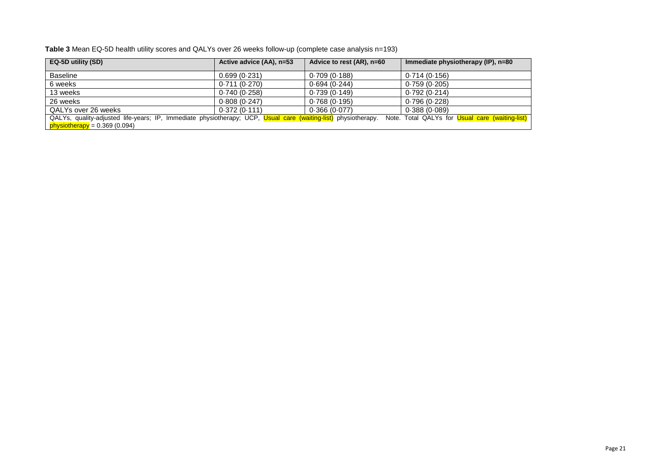| Table 3 Mean EQ-5D health utility scores and QALYs over 26 weeks follow-up (complete case analysis n=193) |  |
|-----------------------------------------------------------------------------------------------------------|--|
|-----------------------------------------------------------------------------------------------------------|--|

| EQ-5D utility (SD)                                                                                             | Active advice (AA), n=53 | Advice to rest (AR), n=60 | Immediate physiotherapy (IP), n=80              |
|----------------------------------------------------------------------------------------------------------------|--------------------------|---------------------------|-------------------------------------------------|
|                                                                                                                |                          |                           |                                                 |
| <b>Baseline</b>                                                                                                | 0.699(0.231)             | 0.709(0.188)              | 0.714(0.156)                                    |
| 6 weeks                                                                                                        | 0.711(0.270)             | 0.694(0.244)              | 0.759(0.205)                                    |
| 13 weeks                                                                                                       | 0.740(0.258)             | 0.739(0.149)              | 0.792 (0.214)                                   |
| 26 weeks                                                                                                       | 0.808(0.247)             | 0.768(0.195)              | 0.796(0.228)                                    |
| QALYs over 26 weeks                                                                                            | 0.372(0.111)             | 0.366(0.077)              | 0.388(0.089)                                    |
| QALYs, quality-adjusted life-years; IP, Immediate physiotherapy; UCP, Usual care (waiting-list) physiotherapy. |                          |                           | Note. Total QALYs for Usual care (waiting-list) |
| $physiotheray = 0.369(0.094)$                                                                                  |                          |                           |                                                 |